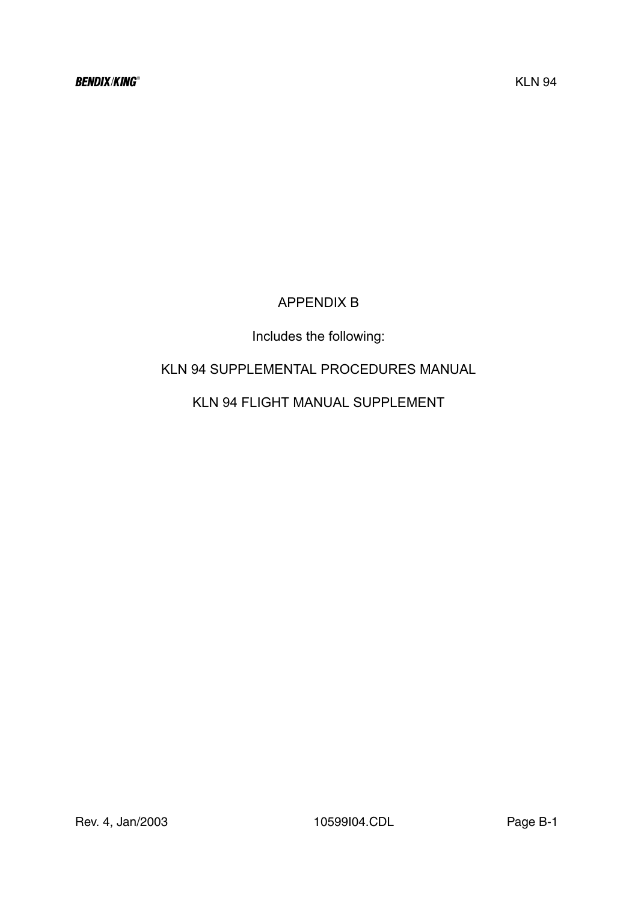# APPENDIX B

# Includes the following:

# KLN 94 SUPPLEMENTAL PROCEDURES MANUAL

# KLN 94 FLIGHT MANUAL SUPPLEMENT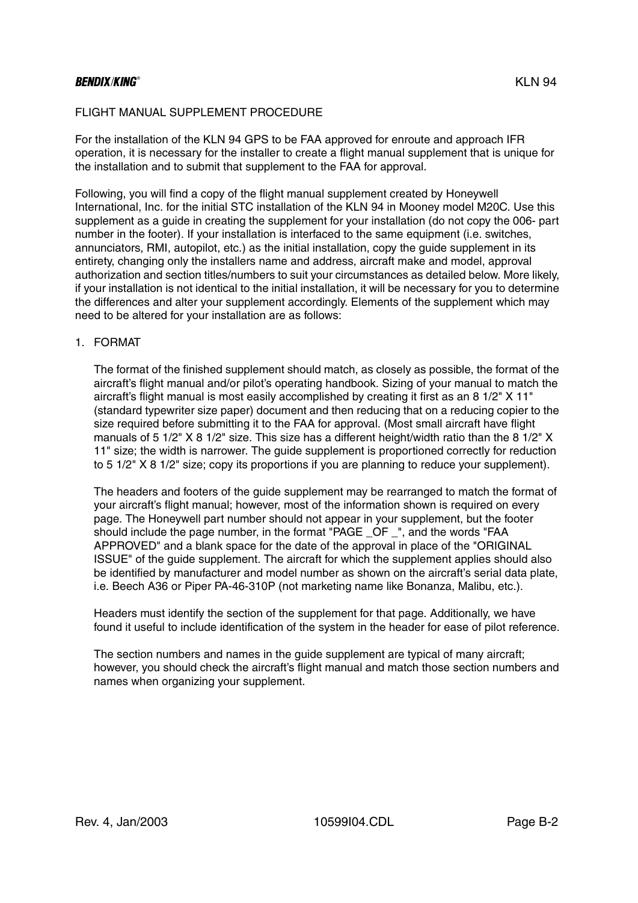# BENDIX/KING® FOR THE RESERVE OF THE RESERVE OF THE RESERVE OF THE RESERVE OF THE RESERVE OF THE RESERVE OF THE

#### FLIGHT MANUAL SUPPLEMENT PROCEDURE

For the installation of the KLN 94 GPS to be FAA approved for enroute and approach IFR operation, it is necessary for the installer to create a flight manual supplement that is unique for the installation and to submit that supplement to the FAA for approval.

Following, you will find a copy of the flight manual supplement created by Honeywell International, Inc. for the initial STC installation of the KLN 94 in Mooney model M20C. Use this supplement as a guide in creating the supplement for your installation (do not copy the 006- part number in the footer). If your installation is interfaced to the same equipment (i.e. switches, annunciators, RMI, autopilot, etc.) as the initial installation, copy the guide supplement in its entirety, changing only the installers name and address, aircraft make and model, approval authorization and section titles/numbers to suit your circumstances as detailed below. More likely, if your installation is not identical to the initial installation, it will be necessary for you to determine the differences and alter your supplement accordingly. Elements of the supplement which may need to be altered for your installation are as follows:

## 1. FORMAT

The format of the finished supplement should match, as closely as possible, the format of the aircraft's flight manual and/or pilot's operating handbook. Sizing of your manual to match the aircraft's flight manual is most easily accomplished by creating it first as an 8 1/2" X 11" (standard typewriter size paper) document and then reducing that on a reducing copier to the size required before submitting it to the FAA for approval. (Most small aircraft have flight manuals of 5 1/2" X 8 1/2" size. This size has a different height/width ratio than the 8 1/2" X 11" size; the width is narrower. The guide supplement is proportioned correctly for reduction to 5 1/2" X 8 1/2" size; copy its proportions if you are planning to reduce your supplement).

The headers and footers of the guide supplement may be rearranged to match the format of your aircraft's flight manual; however, most of the information shown is required on every page. The Honeywell part number should not appear in your supplement, but the footer should include the page number, in the format "PAGE OF ", and the words "FAA APPROVED" and a blank space for the date of the approval in place of the "ORIGINAL ISSUE" of the guide supplement. The aircraft for which the supplement applies should also be identified by manufacturer and model number as shown on the aircraft's serial data plate, i.e. Beech A36 or Piper PA-46-310P (not marketing name like Bonanza, Malibu, etc.).

Headers must identify the section of the supplement for that page. Additionally, we have found it useful to include identification of the system in the header for ease of pilot reference.

The section numbers and names in the guide supplement are typical of many aircraft; however, you should check the aircraft's flight manual and match those section numbers and names when organizing your supplement.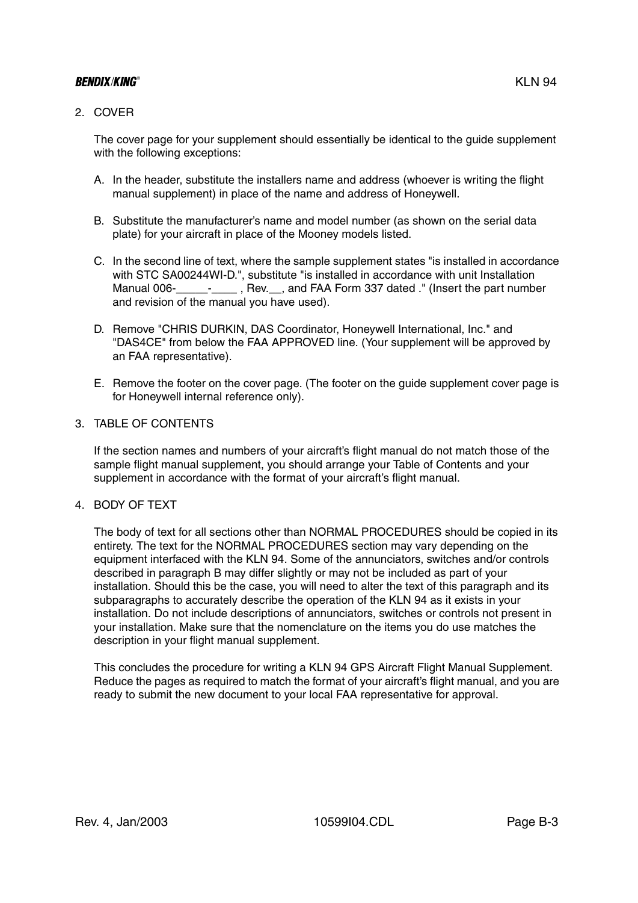# BENDIX/KING® FOR THE RESERVE OF THE RESERVE OF THE RESERVE OF THE RESERVE OF THE RESERVE OF THE RESERVE OF THE

## 2. COVER

The cover page for your supplement should essentially be identical to the guide supplement with the following exceptions:

- A. In the header, substitute the installers name and address (whoever is writing the flight manual supplement) in place of the name and address of Honeywell.
- B. Substitute the manufacturer's name and model number (as shown on the serial data plate) for your aircraft in place of the Mooney models listed.
- C. In the second line of text, where the sample supplement states "is installed in accordance with STC SA00244WI-D.", substitute "is installed in accordance with unit Installation Manual 006-\_\_\_\_\_\_\_\_\_\_\_\_\_\_, Rev.\_\_\_, and FAA Form 337 dated ." (Insert the part number and revision of the manual you have used).
- D. Remove "CHRIS DURKIN, DAS Coordinator, Honeywell International, Inc." and "DAS4CE" from below the FAA APPROVED line. (Your supplement will be approved by an FAA representative).
- E. Remove the footer on the cover page. (The footer on the guide supplement cover page is for Honeywell internal reference only).

#### 3. TABLE OF CONTENTS

If the section names and numbers of your aircraft's flight manual do not match those of the sample flight manual supplement, you should arrange your Table of Contents and your supplement in accordance with the format of your aircraft's flight manual.

#### 4. BODY OF TEXT

The body of text for all sections other than NORMAL PROCEDURES should be copied in its entirety. The text for the NORMAL PROCEDURES section may vary depending on the equipment interfaced with the KLN 94. Some of the annunciators, switches and/or controls described in paragraph B may differ slightly or may not be included as part of your installation. Should this be the case, you will need to alter the text of this paragraph and its subparagraphs to accurately describe the operation of the KLN 94 as it exists in your installation. Do not include descriptions of annunciators, switches or controls not present in your installation. Make sure that the nomenclature on the items you do use matches the description in your flight manual supplement.

This concludes the procedure for writing a KLN 94 GPS Aircraft Flight Manual Supplement. Reduce the pages as required to match the format of your aircraft's flight manual, and you are ready to submit the new document to your local FAA representative for approval.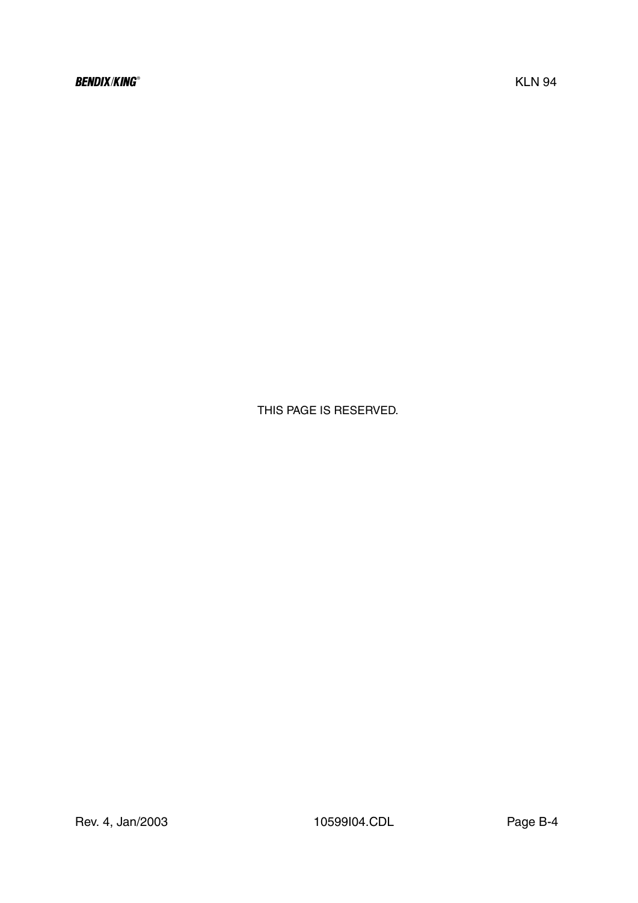THIS PAGE IS RESERVED.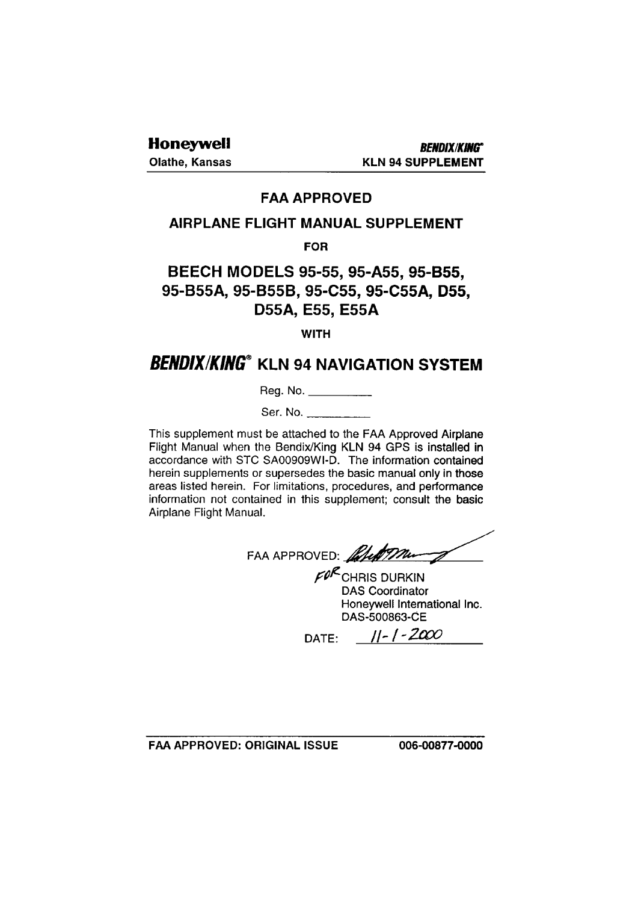**Olathe, Kansas** 

# **FAA APPROVED**

# **AIRPLANE FLIGHT MANUAL SUPPLEMENT**

# **FOR**

# BEECH MODELS 95-55, 95-A55, 95-B55, 95-B55A, 95-B55B, 95-C55, 95-C55A, D55, D55A, E55, E55A

# **WITH**

# **BENDIX/KING® KLN 94 NAVIGATION SYSTEM**

Reg. No. \_\_\_\_\_\_\_\_\_\_\_

Ser. No.

This supplement must be attached to the FAA Approved Airplane Flight Manual when the Bendix/King KLN 94 GPS is installed in accordance with STC SA00909WI-D. The information contained herein supplements or supersedes the basic manual only in those areas listed herein. For limitations, procedures, and performance information not contained in this supplement; consult the basic Airplane Flight Manual.

FAA APPROVED: Alleman

 $F\mathcal{O}^{\mathcal{R}}$ CHRIS DURKIN **DAS Coordinator** Honeywell International Inc. DAS-500863-CE

DATE:  $||-1|-2000$ 

FAA APPROVED: ORIGINAL ISSUE

006-00877-0000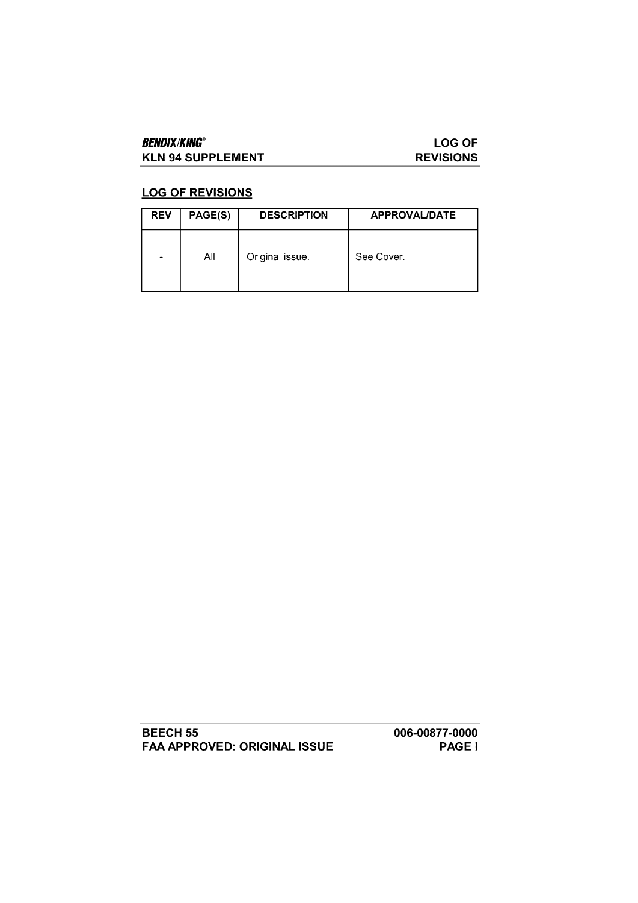# **BENDIX/KING® KLN 94 SUPPLEMENT**

# **LOG OF REVISIONS**

# **LOG OF REVISIONS**

| <b>REV</b>                   | PAGE(S) | <b>DESCRIPTION</b> | APPROVAL/DATE |
|------------------------------|---------|--------------------|---------------|
| $\qquad \qquad \blacksquare$ | All     | Original issue.    | See Cover.    |

**BEECH 55** FAA APPROVED: ORIGINAL ISSUE 006-00877-0000 **PAGE I**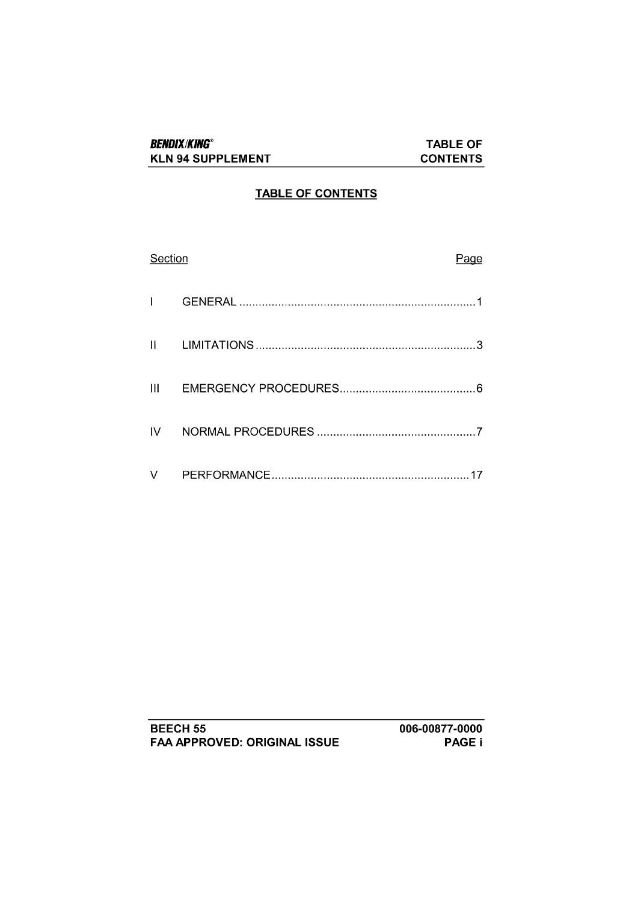## **TABLE OF CONTENTS**

| Section       | Page |
|---------------|------|
|               |      |
| II            |      |
| $\mathbf{  }$ |      |
| IV            |      |
| v             |      |

| <b>BEECH 55</b>                     |  |
|-------------------------------------|--|
| <b>FAA APPROVED: ORIGINAL ISSUE</b> |  |

006-00877-0000 PAGE i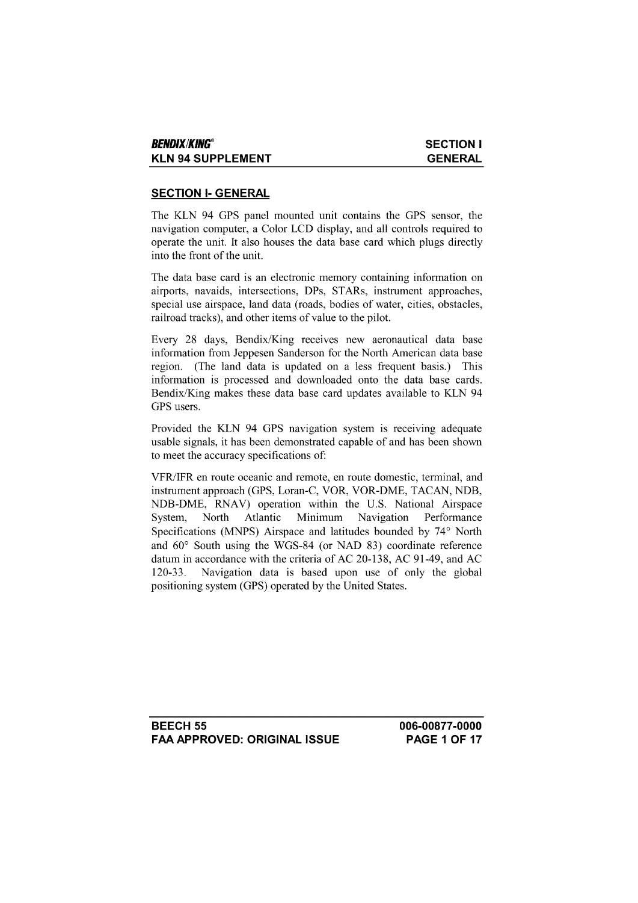## **SECTION I- GENERAL**

The KLN 94 GPS panel mounted unit contains the GPS sensor, the navigation computer, a Color LCD display, and all controls required to operate the unit. It also houses the data base card which plugs directly into the front of the unit.

The data base card is an electronic memory containing information on airports, navaids, intersections, DPs, STARs, instrument approaches, special use airspace, land data (roads, bodies of water, cities, obstacles, railroad tracks), and other items of value to the pilot.

Every 28 days, Bendix/King receives new aeronautical data base information from Jeppesen Sanderson for the North American data base region. (The land data is updated on a less frequent basis.) This information is processed and downloaded onto the data base cards. Bendix/King makes these data base card updates available to KLN 94 GPS users.

Provided the KLN 94 GPS navigation system is receiving adequate usable signals, it has been demonstrated capable of and has been shown to meet the accuracy specifications of:

VFR/IFR en route oceanic and remote, en route domestic, terminal, and instrument approach (GPS, Loran-C, VOR, VOR-DME, TACAN, NDB, NDB-DME, RNAV) operation within the U.S. National Airspace North Atlantic Minimum Navigation System, Performance Specifications (MNPS) Airspace and latitudes bounded by 74° North and 60° South using the WGS-84 (or NAD 83) coordinate reference datum in accordance with the criteria of AC 20-138, AC 91-49, and AC Navigation data is based upon use of only the global  $120 - 33$ . positioning system (GPS) operated by the United States.

**BEECH 55 FAA APPROVED: ORIGINAL ISSUE**  006-00877-0000 **PAGE 1 OF 17**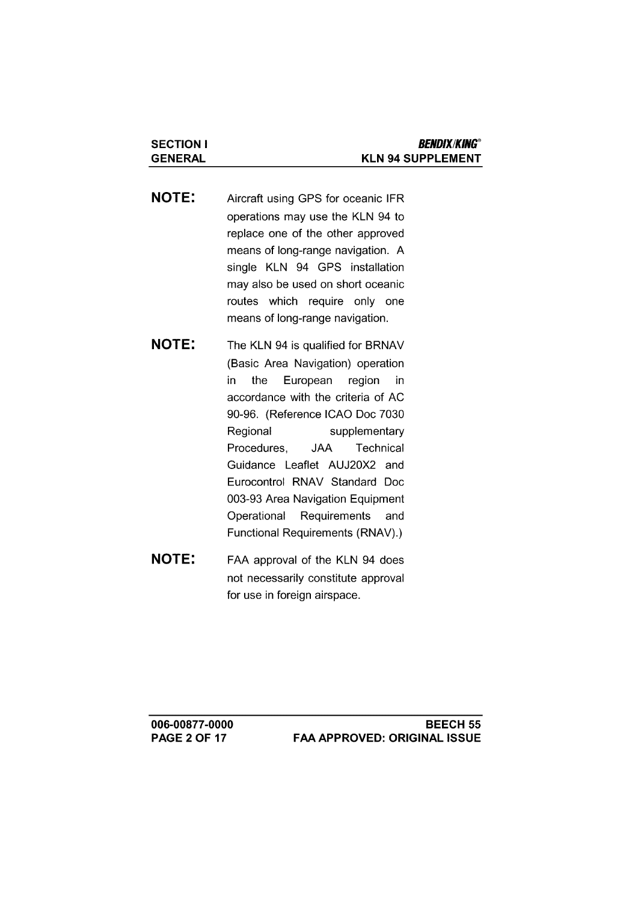**NOTE:** Aircraft using GPS for oceanic IFR operations may use the KLN 94 to replace one of the other approved means of long-range navigation. A single KLN 94 GPS installation may also be used on short oceanic routes which require only one means of long-range navigation.

**SECTION I** 

**GENERAL** 

- **NOTE:** The KLN 94 is qualified for BRNAV (Basic Area Navigation) operation in. the European region in accordance with the criteria of AC 90-96. (Reference ICAO Doc 7030 Regional supplementary Procedures, **JAA** Technical Guidance Leaflet AUJ20X2 and Eurocontrol RNAV Standard Doc 003-93 Area Navigation Equipment Operational Requirements and Functional Requirements (RNAV).)
- **NOTE:** FAA approval of the KLN 94 does not necessarily constitute approval for use in foreign airspace.

006-00877-0000 **PAGE 2 OF 17**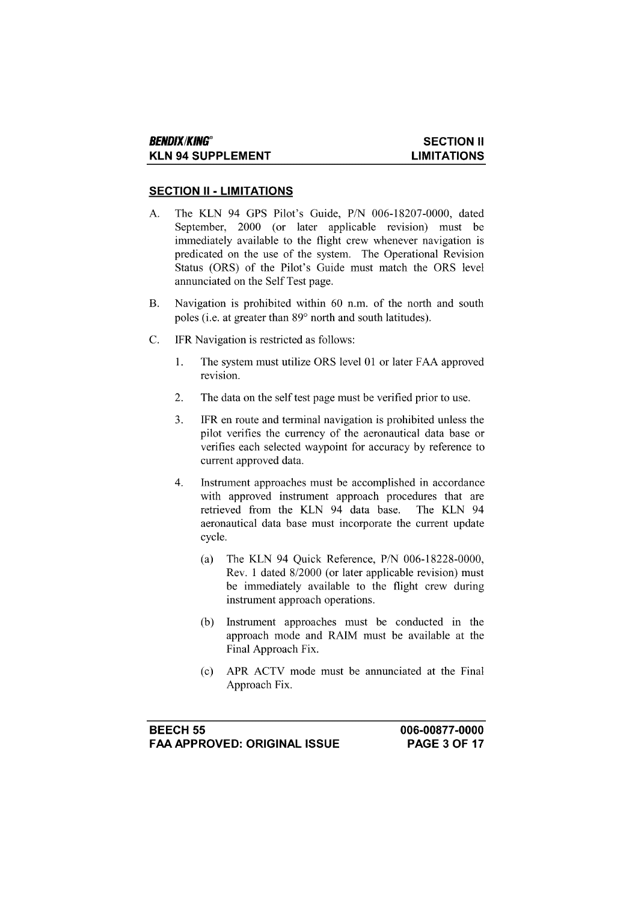#### **SECTION II - LIMITATIONS**

- The KLN 94 GPS Pilot's Guide, P/N 006-18207-0000, dated  $\mathbf{A}$ . September, 2000 (or later applicable revision) must be immediately available to the flight crew whenever navigation is predicated on the use of the system. The Operational Revision Status (ORS) of the Pilot's Guide must match the ORS level annunciated on the Self Test page.
- **B.** Navigation is prohibited within 60 n.m. of the north and south poles (i.e. at greater than 89° north and south latitudes).
- $C_{\cdot}$ IFR Navigation is restricted as follows:
	- $\mathbf{1}$ . The system must utilize ORS level 01 or later FAA approved revision.
	- $\overline{2}$ . The data on the self test page must be verified prior to use.
	- $3.$ IFR en route and terminal navigation is prohibited unless the pilot verifies the currency of the aeronautical data base or verifies each selected waypoint for accuracy by reference to current approved data.
	- $\overline{4}$ . Instrument approaches must be accomplished in accordance with approved instrument approach procedures that are retrieved from the KLN 94 data base. The KLN 94 aeronautical data base must incorporate the current update cycle.
		- The KLN 94 Quick Reference, P/N 006-18228-0000,  $(a)$ Rev. 1 dated 8/2000 (or later applicable revision) must be immediately available to the flight crew during instrument approach operations.
		- Instrument approaches must be conducted in the  $(b)$ approach mode and RAIM must be available at the Final Approach Fix.
		- APR ACTV mode must be annunciated at the Final  $(c)$ Approach Fix.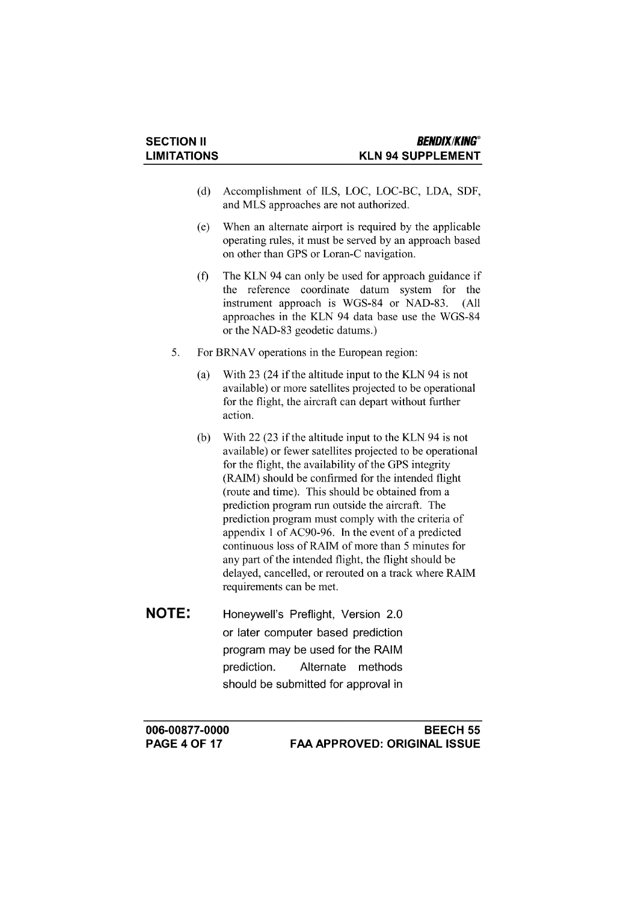- (d) Accomplishment of ILS, LOC, LOC-BC, LDA, SDF, and MLS approaches are not authorized.
- When an alternate airport is required by the applicable  $(e)$ operating rules, it must be served by an approach based on other than GPS or Loran-C navigation.
- The KLN 94 can only be used for approach guidance if  $(f)$ the reference coordinate datum system for the instrument approach is WGS-84 or NAD-83. (All approaches in the KLN 94 data base use the WGS-84 or the NAD-83 geodetic datums.)
- 5. For BRNAV operations in the European region:
	- With 23 (24 if the altitude input to the KLN 94 is not  $(a)$ available) or more satellites projected to be operational for the flight, the aircraft can depart without further action.
	- (b) With 22 (23 if the altitude input to the KLN 94 is not available) or fewer satellites projected to be operational for the flight, the availability of the GPS integrity (RAIM) should be confirmed for the intended flight (route and time). This should be obtained from a prediction program run outside the aircraft. The prediction program must comply with the criteria of appendix 1 of AC90-96. In the event of a predicted continuous loss of RAIM of more than 5 minutes for any part of the intended flight, the flight should be delayed, cancelled, or rerouted on a track where RAIM requirements can be met.
- **NOTE:** Honeywell's Preflight, Version 2.0 or later computer based prediction program may be used for the RAIM prediction. Alternate methods should be submitted for approval in

006-00877-0000 **PAGE 4 OF 17**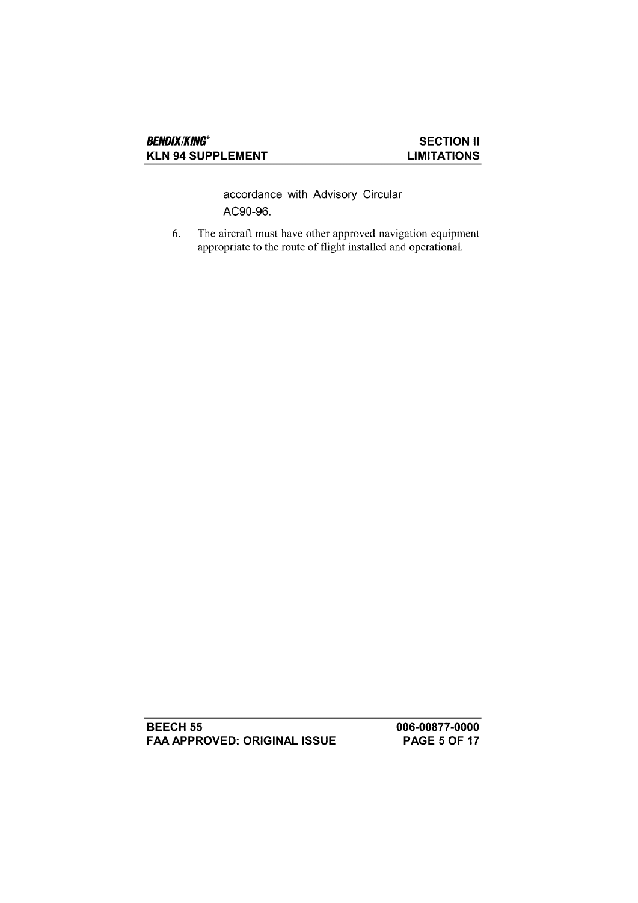accordance with Advisory Circular AC90-96.

6. The aircraft must have other approved navigation equipment appropriate to the route of flight installed and operational.

**BEECH 55 FAA APPROVED: ORIGINAL ISSUE**  006-00877-0000 **PAGE 5 OF 17**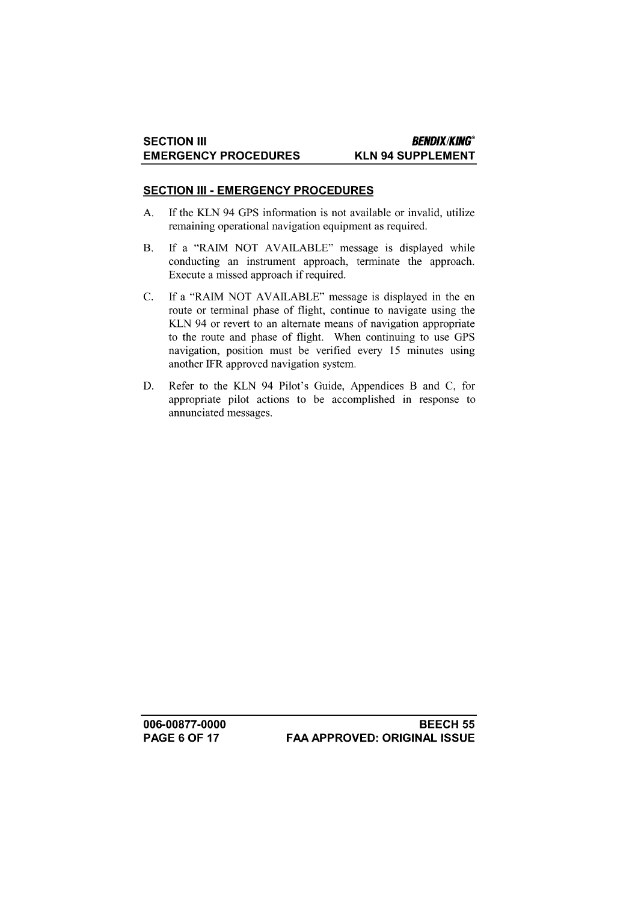## **SECTION III - EMERGENCY PROCEDURES**

- If the KLN 94 GPS information is not available or invalid, utilize A. remaining operational navigation equipment as required.
- If a "RAIM NOT AVAILABLE" message is displayed while **B.** conducting an instrument approach, terminate the approach. Execute a missed approach if required.
- $C.$ If a "RAIM NOT AVAILABLE" message is displayed in the en route or terminal phase of flight, continue to navigate using the KLN 94 or revert to an alternate means of navigation appropriate to the route and phase of flight. When continuing to use GPS navigation, position must be verified every 15 minutes using another IFR approved navigation system.
- Refer to the KLN 94 Pilot's Guide, Appendices B and C, for D. appropriate pilot actions to be accomplished in response to annunciated messages.

006-00877-0000 **PAGE 6 OF 17**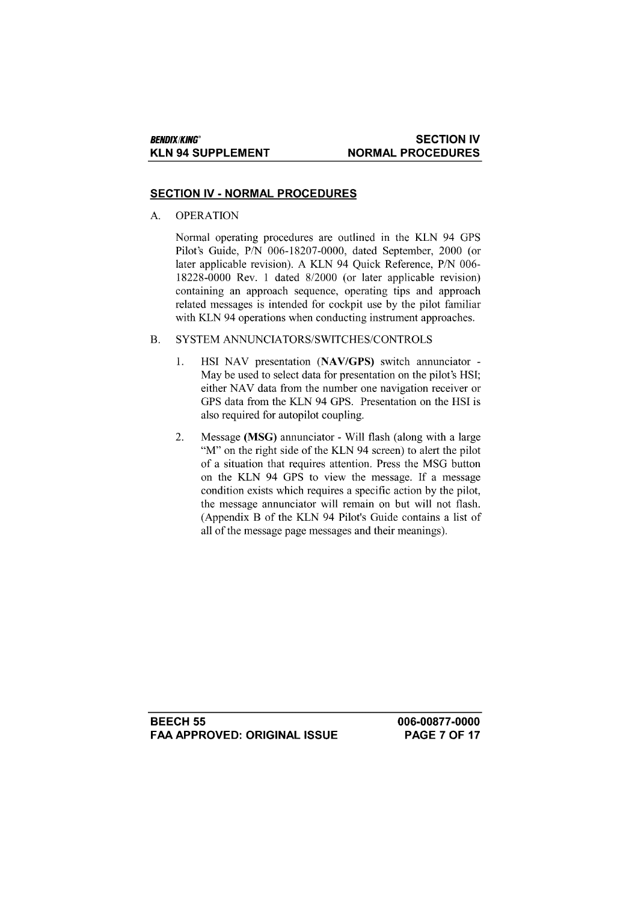#### **SECTION IV NORMAL PROCEDURES**

#### **SECTION IV - NORMAL PROCEDURES**

A. **OPERATION** 

> Normal operating procedures are outlined in the KLN 94 GPS Pilot's Guide, P/N 006-18207-0000, dated September, 2000 (or later applicable revision). A KLN 94 Quick Reference, P/N 006-18228-0000 Rev. 1 dated 8/2000 (or later applicable revision) containing an approach sequence, operating tips and approach related messages is intended for cockpit use by the pilot familiar with KLN 94 operations when conducting instrument approaches.

#### SYSTEM ANNUNCIATORS/SWITCHES/CONTROLS **B.**

- $\mathbf{1}$ . HSI NAV presentation (NAV/GPS) switch annunciator -May be used to select data for presentation on the pilot's HSI; either NAV data from the number one navigation receiver or GPS data from the KLN 94 GPS. Presentation on the HSI is also required for autopilot coupling.
- 2. Message (MSG) annunciator - Will flash (along with a large "M" on the right side of the KLN 94 screen) to alert the pilot of a situation that requires attention. Press the MSG button on the KLN 94 GPS to view the message. If a message condition exists which requires a specific action by the pilot. the message annunciator will remain on but will not flash. (Appendix B of the KLN 94 Pilot's Guide contains a list of all of the message page messages and their meanings).

**BEECH 55 FAA APPROVED: ORIGINAL ISSUE**  006-00877-0000 **PAGE 7 OF 17**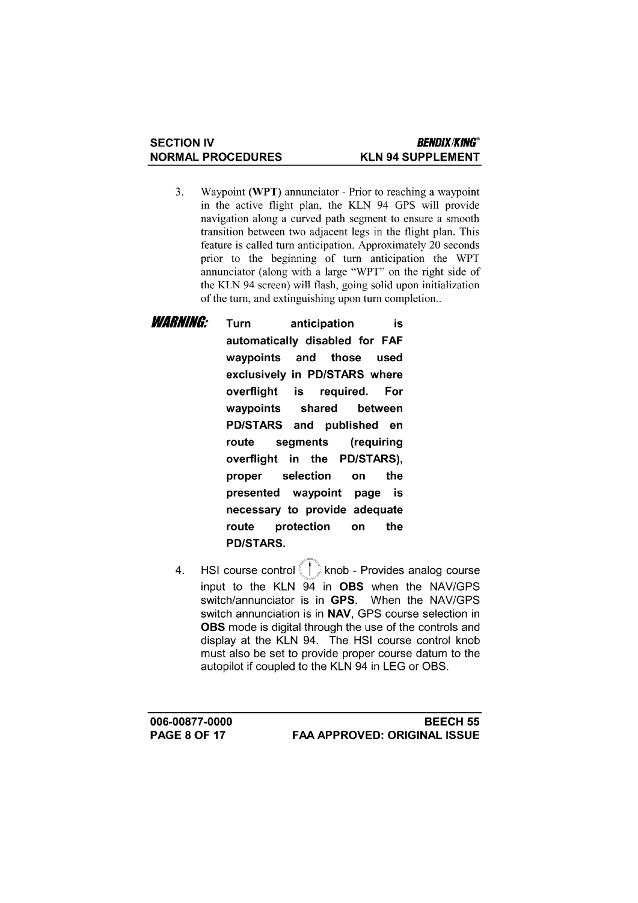- Waypoint (WPT) annunciator Prior to reaching a waypoint  $3.$ in the active flight plan, the KLN 94 GPS will provide navigation along a curved path segment to ensure a smooth transition between two adjacent legs in the flight plan. This feature is called turn anticipation. Approximately 20 seconds prior to the beginning of turn anticipation the WPT annunciator (along with a large "WPT" on the right side of the KLN 94 screen) will flash, going solid upon initialization of the turn, and extinguishing upon turn completion...
- *WARNING:* Turn anticipation is automatically disabled for FAF waypoints and those used exclusively in PD/STARS where overflight is reauired. For waypoints shared between PD/STARS and published en route segments (requiring overflight in the PD/STARS), proper selection on the page is presented waypoint necessary to provide adequate route protection on the **PD/STARS.** 
	- HSI course control ( | ) knob Provides analog course  $\overline{4}$ . input to the KLN 94 in OBS when the NAV/GPS switch/annunciator is in GPS. When the NAV/GPS switch annunciation is in NAV, GPS course selection in OBS mode is digital through the use of the controls and display at the KLN 94. The HSI course control knob must also be set to provide proper course datum to the autopilot if coupled to the KLN 94 in LEG or OBS.

006-00877-0000 **PAGE 8 OF 17**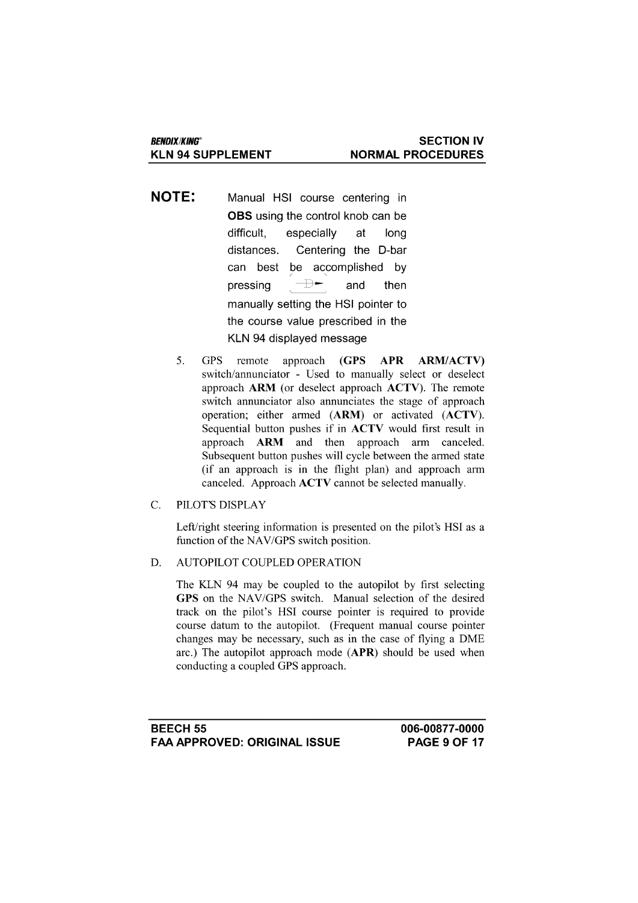- **NOTE:** Manual HSI course centering in **OBS** using the control knob can be difficult. especially at lona distances. Centering the D-bar be accomplished by can best  $\rightarrow$ pressing and then manually setting the HSI pointer to the course value prescribed in the KLN 94 displayed message
	- 5.  $(GPS)$ **GPS** remote approach **APR ARM/ACTV)** switch/annunciator - Used to manually select or deselect approach ARM (or deselect approach ACTV). The remote switch annunciator also annunciates the stage of approach operation; either armed (ARM) or activated (ACTV). Sequential button pushes if in ACTV would first result in approach ARM and then approach arm canceled. Subsequent button pushes will cycle between the armed state (if an approach is in the flight plan) and approach arm canceled. Approach ACTV cannot be selected manually.
- $\overline{C}$ . PILOT'S DISPLAY

Left/right steering information is presented on the pilot's HSI as a function of the NAV/GPS switch position.

AUTOPILOT COUPLED OPERATION D.

> The KLN 94 may be coupled to the autopilot by first selecting GPS on the NAV/GPS switch. Manual selection of the desired track on the pilot's HSI course pointer is required to provide course datum to the autopilot. (Frequent manual course pointer changes may be necessary, such as in the case of flying a DME arc.) The autopilot approach mode (APR) should be used when conducting a coupled GPS approach.

006-00877-0000 **PAGE 9 OF 17**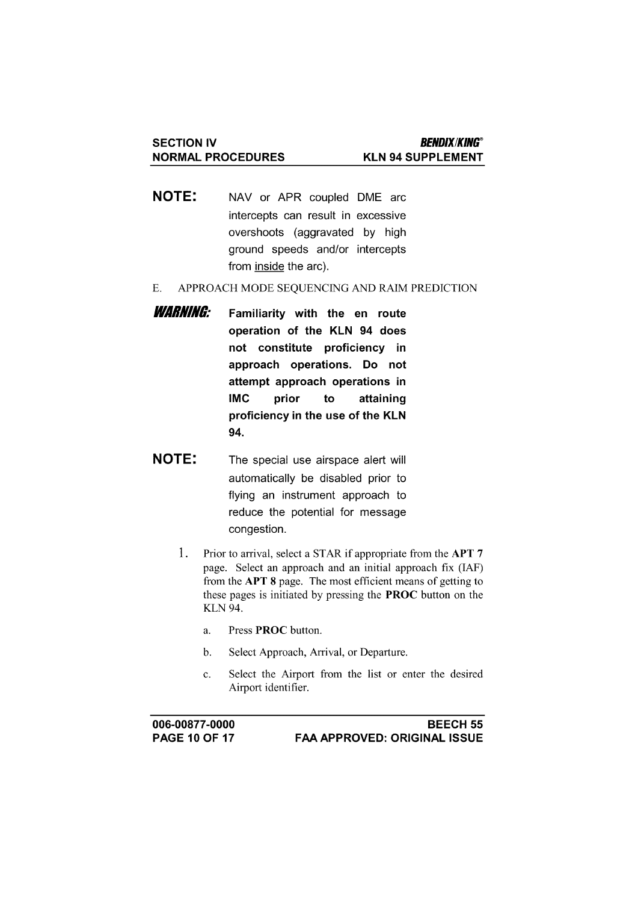- **NOTE:** NAV or APR coupled DME arc intercepts can result in excessive overshoots (aggravated by high ground speeds and/or intercepts from inside the arc).
- APPROACH MODE SEQUENCING AND RAIM PREDICTION  $E.$
- **WARNING:** Familiarity with the en route operation of the KLN 94 does not constitute proficiency in approach operations. Do not attempt approach operations in **IMC** prior to attaining proficiency in the use of the KLN 94.
- **NOTE:** The special use airspace alert will automatically be disabled prior to flying an instrument approach to reduce the potential for message congestion.
	- $1.$ Prior to arrival, select a STAR if appropriate from the APT 7 page. Select an approach and an initial approach fix (IAF) from the APT 8 page. The most efficient means of getting to these pages is initiated by pressing the **PROC** button on the **KLN 94.** 
		- Press PROC button.  $\mathbf{a}$ .
		- Select Approach, Arrival, or Departure.  $\mathbf b$ .
		- Select the Airport from the list or enter the desired  $\mathbf{c}$ . Airport identifier.

006-00877-0000 **PAGE 10 OF 17**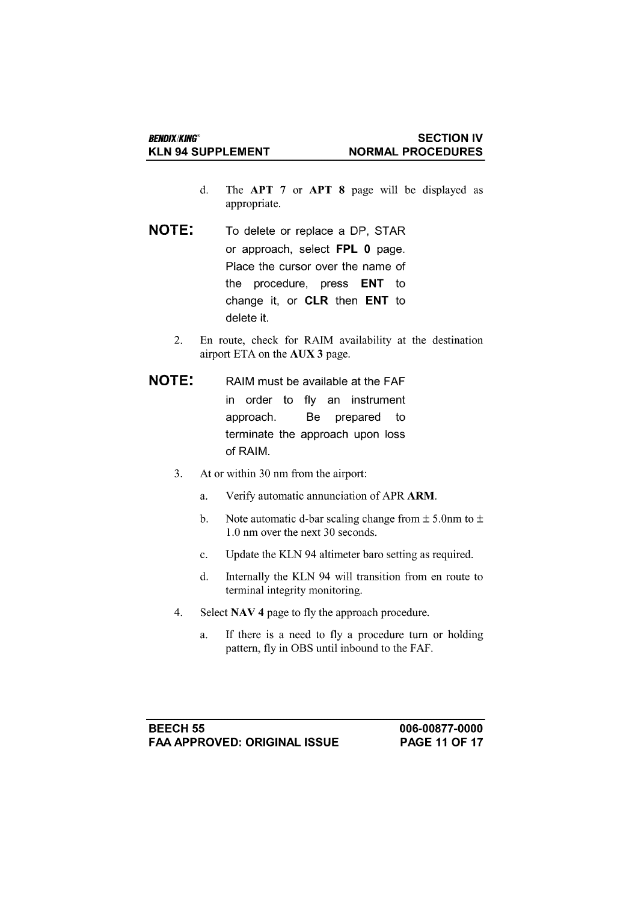- The APT 7 or APT 8 page will be displayed as  $\mathbf{d}$ . appropriate.
- **NOTE:** To delete or replace a DP, STAR or approach, select FPL 0 page. Place the cursor over the name of the procedure, press ENT to change it, or CLR then ENT to delete it.
	- 2. En route, check for RAIM availability at the destination airport ETA on the AUX 3 page.
- **NOTE:** RAIM must be available at the FAF in order to fly an instrument approach. Be prepared to terminate the approach upon loss of RAIM.
	- At or within 30 nm from the airport: 3.
		- Verify automatic annunciation of APR ARM. a.
		- $<sub>b</sub>$ </sub> Note automatic d-bar scaling change from  $\pm$  5.0nm to  $\pm$ 1.0 nm over the next 30 seconds.
		- $\mathbf{c}$ . Update the KLN 94 altimeter baro setting as required.
		- Internally the KLN 94 will transition from en route to d. terminal integrity monitoring.
	- $\overline{4}$ . Select NAV 4 page to fly the approach procedure.
		- a. If there is a need to fly a procedure turn or holding pattern, fly in OBS until inbound to the FAF.

**BEECH 55 FAA APPROVED: ORIGINAL ISSUE**  006-00877-0000 **PAGE 11 OF 17**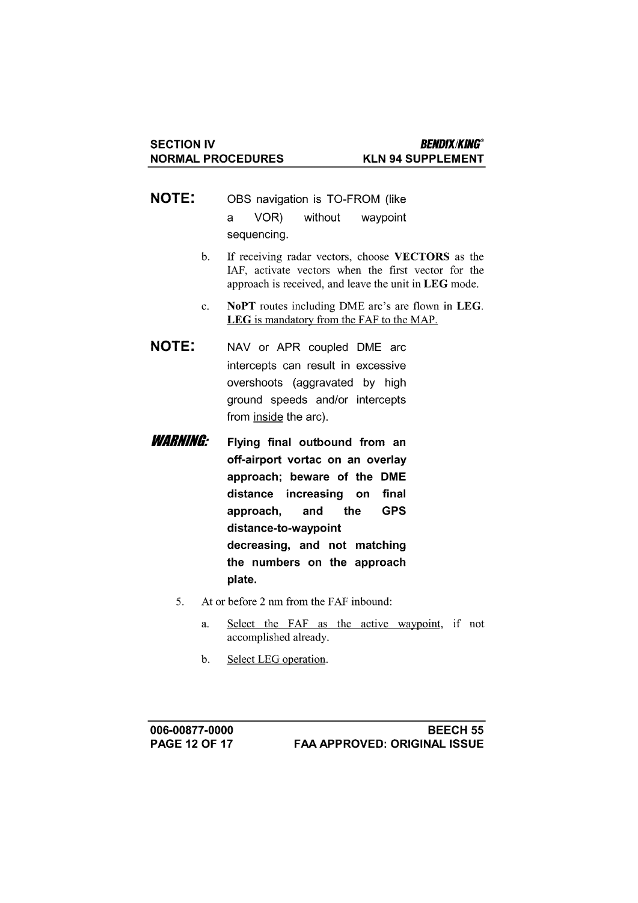- **NOTE:** OBS navigation is TO-FROM (like a VOR) without waypoint sequencing.
	- If receiving radar vectors, choose VECTORS as the  $\mathbf{b}$ . IAF, activate vectors when the first vector for the approach is received, and leave the unit in LEG mode.
	- NoPT routes including DME arc's are flown in LEG.  $c.$ LEG is mandatory from the FAF to the MAP.
- **NOTE:** NAV or APR coupled DME arc intercepts can result in excessive overshoots (aggravated by high ground speeds and/or intercepts from inside the arc).
- **WARNING:** Flying final outbound from an off-airport vortac on an overlay approach; beware of the DME distance increasing on final **GPS** approach. and the distance-to-waypoint decreasing, and not matching the numbers on the approach plate.
	- 5. At or before 2 nm from the FAF inbound:
		- Select the FAF as the active waypoint, if not a. accomplished already.
		- $\mathbf{b}$ . Select LEG operation.

006-00877-0000 **PAGE 12 OF 17**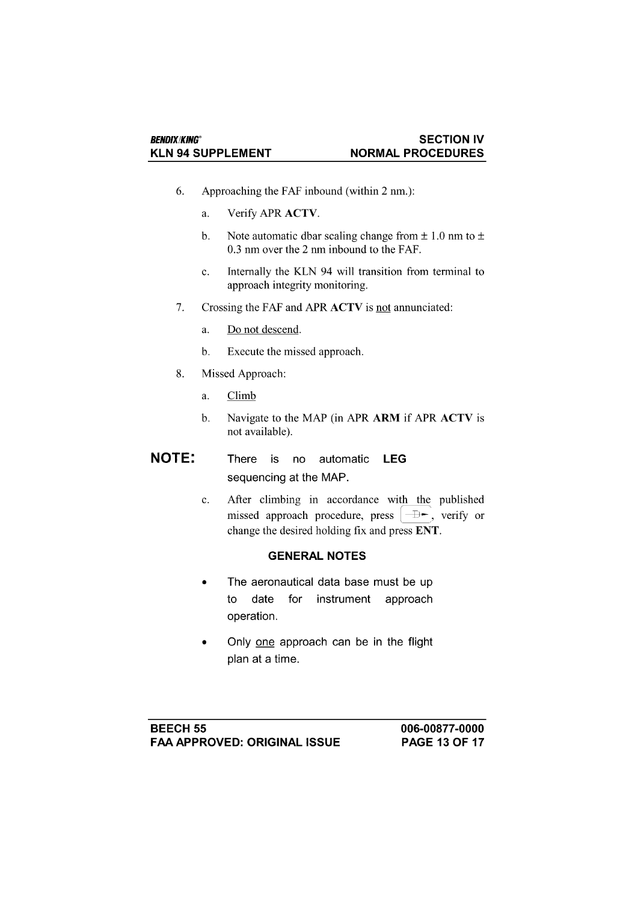- Approaching the FAF inbound (within 2 nm.): 6.
	- Verify APR ACTV. a.
	- Note automatic dbar scaling change from  $\pm$  1.0 nm to  $\pm$  $<sub>b</sub>$ .</sub> 0.3 nm over the 2 nm inbound to the FAF.
	- Internally the KLN 94 will transition from terminal to  $\mathbf{c}$ . approach integrity monitoring.
- 7. Crossing the FAF and APR ACTV is not annunciated:
	- Do not descend. a.
	- Execute the missed approach.  $\mathbf b$ .
- 8. Missed Approach:
	- Climb a.
	- $\mathbf{b}$ . Navigate to the MAP (in APR ARM if APR ACTV is not available).

#### **NOTE:** There is no automatic **LEG** sequencing at the MAP.

After climbing in accordance with the published  $\mathbf{c}$ . missed approach procedure, press  $|\rightarrow \rightarrow$ , verify or change the desired holding fix and press ENT.

## **GENERAL NOTES**

- The aeronautical data base must be up to date for instrument approach operation.
- Only one approach can be in the flight plan at a time.

**BEECH 55 FAA APPROVED: ORIGINAL ISSUE**  006-00877-0000 **PAGE 13 OF 17**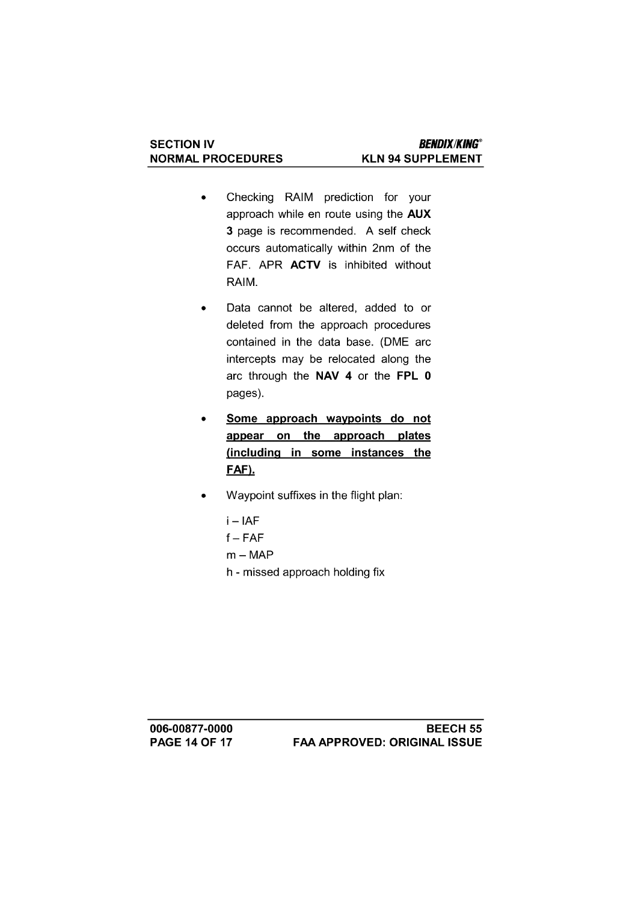- Checking RAIM prediction for your  $\bullet$ approach while en route using the AUX 3 page is recommended. A self check occurs automatically within 2nm of the FAF. APR ACTV is inhibited without RAIM.
- Data cannot be altered, added to or  $\bullet$ deleted from the approach procedures contained in the data base. (DME arc intercepts may be relocated along the arc through the NAV 4 or the FPL 0 pages).
- Some approach waypoints do not  $\bullet$ appear on the approach plates (including in some instances the FAF).
- Waypoint suffixes in the flight plan:
	- $i IAF$  $f - FAF$  $m - MAP$ h - missed approach holding fix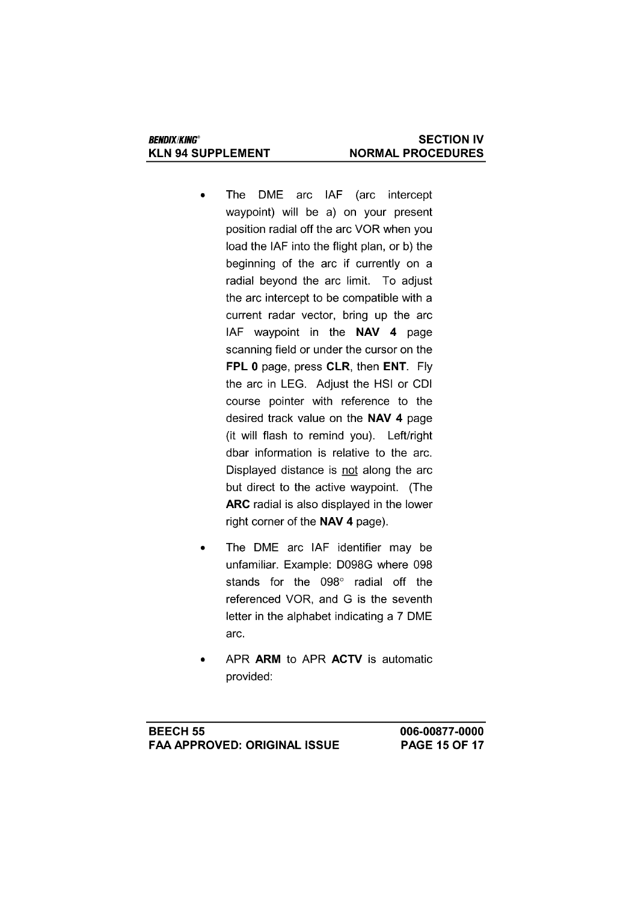- The DME arc IAF (arc intercept waypoint) will be a) on your present position radial off the arc VOR when you load the IAF into the flight plan, or b) the beginning of the arc if currently on a radial beyond the arc limit. To adjust the arc intercept to be compatible with a current radar vector, bring up the arc IAF waypoint in the NAV 4 page scanning field or under the cursor on the FPL 0 page, press CLR, then ENT. Fly the arc in LEG. Adjust the HSI or CDI course pointer with reference to the desired track value on the NAV 4 page (it will flash to remind you). Left/right dbar information is relative to the arc. Displayed distance is not along the arc but direct to the active waypoint. (The ARC radial is also displayed in the lower right corner of the NAV 4 page).
- The DME arc IAF identifier may be unfamiliar. Example: D098G where 098 stands for the 098° radial off the referenced VOR, and G is the seventh letter in the alphabet indicating a 7 DME arc.
- APR ARM to APR ACTV is automatic provided: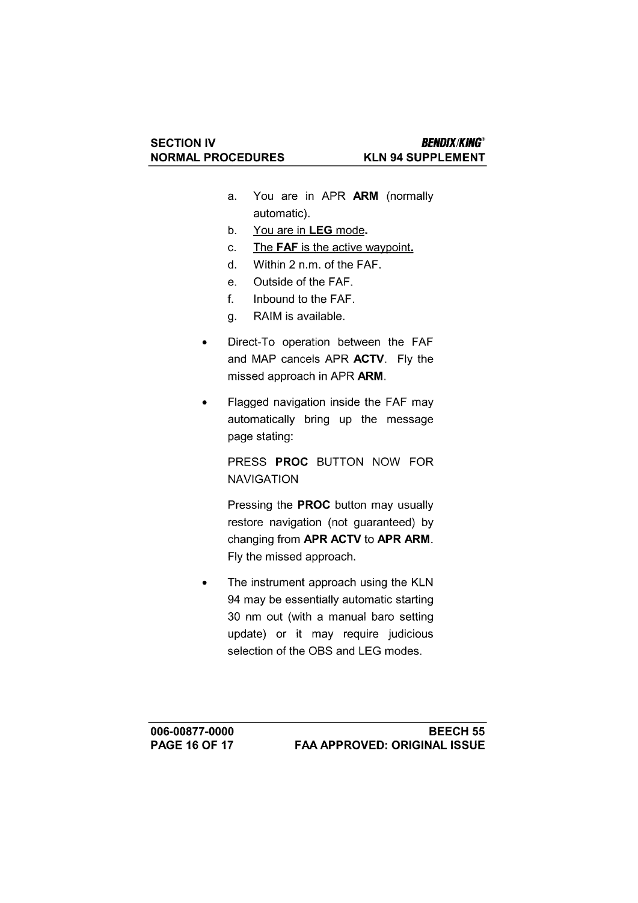- You are in APR ARM (normally  $a<sub>z</sub>$ automatic).
- You are in LEG mode.  $b<sub>1</sub>$
- The FAF is the active waypoint. c.
- Within 2 n.m. of the FAF. d.
- Outside of the FAF. e.
- Inbound to the FAF.  $f_{\cdot}$
- RAIM is available.  $q_{\star}$
- Direct-To operation between the FAF  $\bullet$ and MAP cancels APR ACTV. Fly the missed approach in APR ARM.
- Flagged navigation inside the FAF may automatically bring up the message page stating:

PRESS PROC BUTTON NOW FOR **NAVIGATION** 

Pressing the **PROC** button may usually restore navigation (not guaranteed) by changing from APR ACTV to APR ARM. Fly the missed approach.

The instrument approach using the KLN 94 may be essentially automatic starting 30 nm out (with a manual baro setting update) or it may require judicious selection of the OBS and LEG modes.